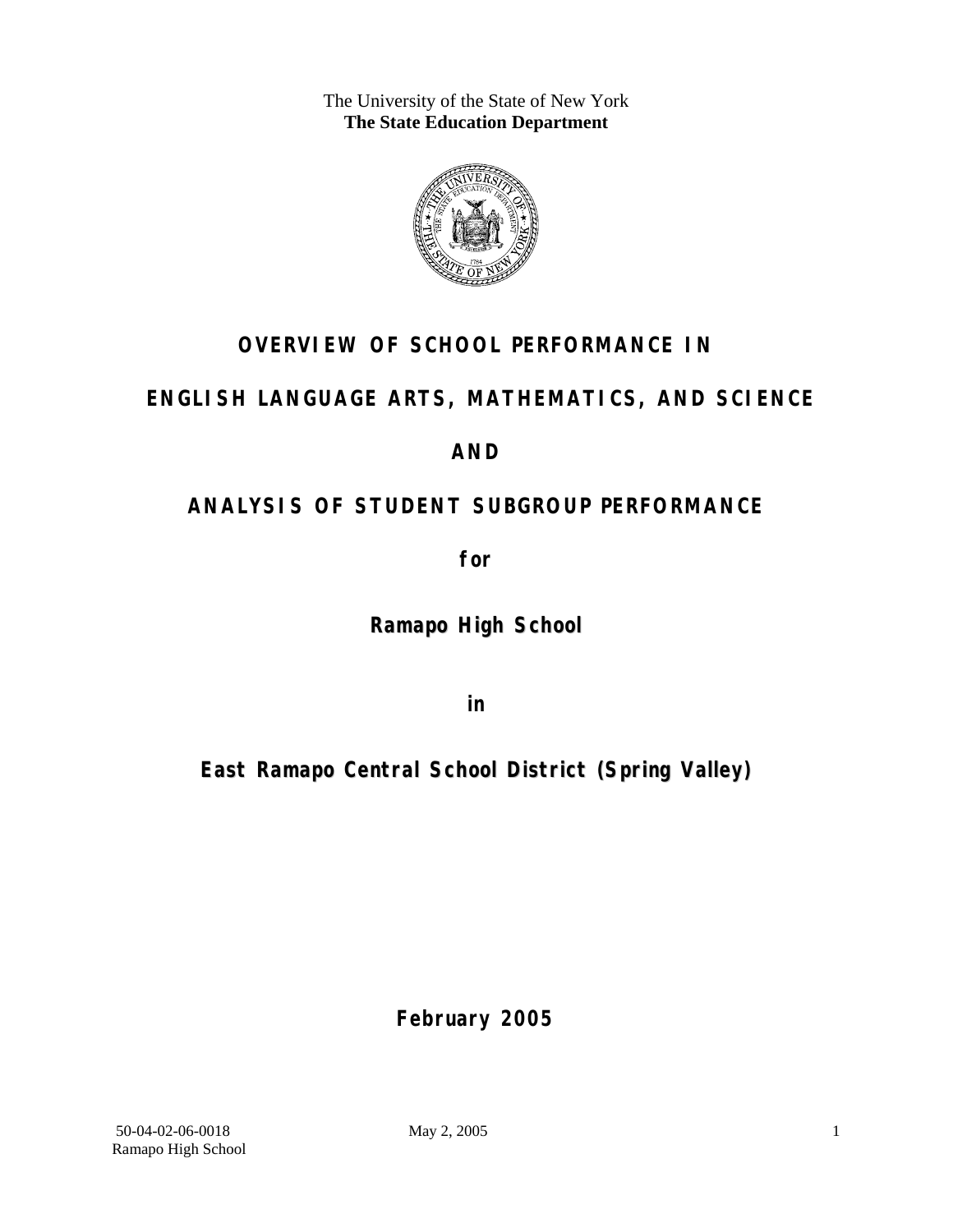The University of the State of New York **The State Education Department** 



# **OVERVIEW OF SCHOOL PERFORMANCE IN**

# **ENGLISH LANGUAGE ARTS, MATHEMATICS, AND SCIENCE**

# **AND**

# **ANALYSIS OF STUDENT SUBGROUP PERFORMANCE**

**for** 

**Ramapo High School**

**in** 

**East Ramapo Central School District (Spring Valley)**

**February 2005**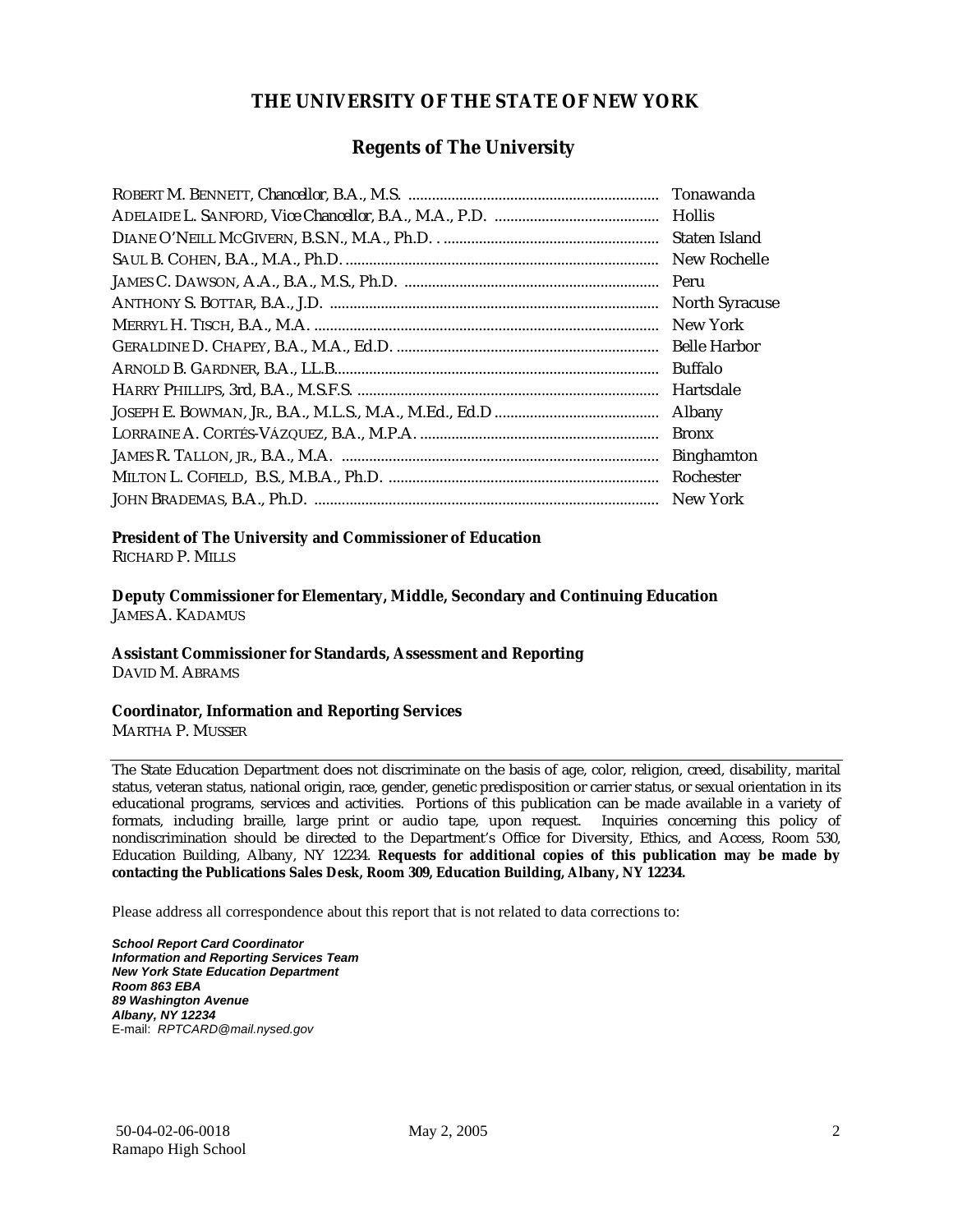#### **THE UNIVERSITY OF THE STATE OF NEW YORK**

#### **Regents of The University**

| Tonawanda             |
|-----------------------|
|                       |
| Staten Island         |
| New Rochelle          |
| Peru                  |
| <b>North Syracuse</b> |
| New York              |
| <b>Belle Harbor</b>   |
| <b>Buffalo</b>        |
| Hartsdale             |
| Albany                |
| <b>Bronx</b>          |
| <b>Binghamton</b>     |
| Rochester             |
| New York              |

## **President of The University and Commissioner of Education**

RICHARD P. MILLS

**Deputy Commissioner for Elementary, Middle, Secondary and Continuing Education**  JAMES A. KADAMUS

#### **Assistant Commissioner for Standards, Assessment and Reporting**  DAVID M. ABRAMS

**Coordinator, Information and Reporting Services** 

MARTHA P. MUSSER

The State Education Department does not discriminate on the basis of age, color, religion, creed, disability, marital status, veteran status, national origin, race, gender, genetic predisposition or carrier status, or sexual orientation in its educational programs, services and activities. Portions of this publication can be made available in a variety of formats, including braille, large print or audio tape, upon request. Inquiries concerning this policy of nondiscrimination should be directed to the Department's Office for Diversity, Ethics, and Access, Room 530, Education Building, Albany, NY 12234. **Requests for additional copies of this publication may be made by contacting the Publications Sales Desk, Room 309, Education Building, Albany, NY 12234.** 

Please address all correspondence about this report that is not related to data corrections to:

*School Report Card Coordinator Information and Reporting Services Team New York State Education Department Room 863 EBA 89 Washington Avenue Albany, NY 12234*  E-mail: *RPTCARD@mail.nysed.gov*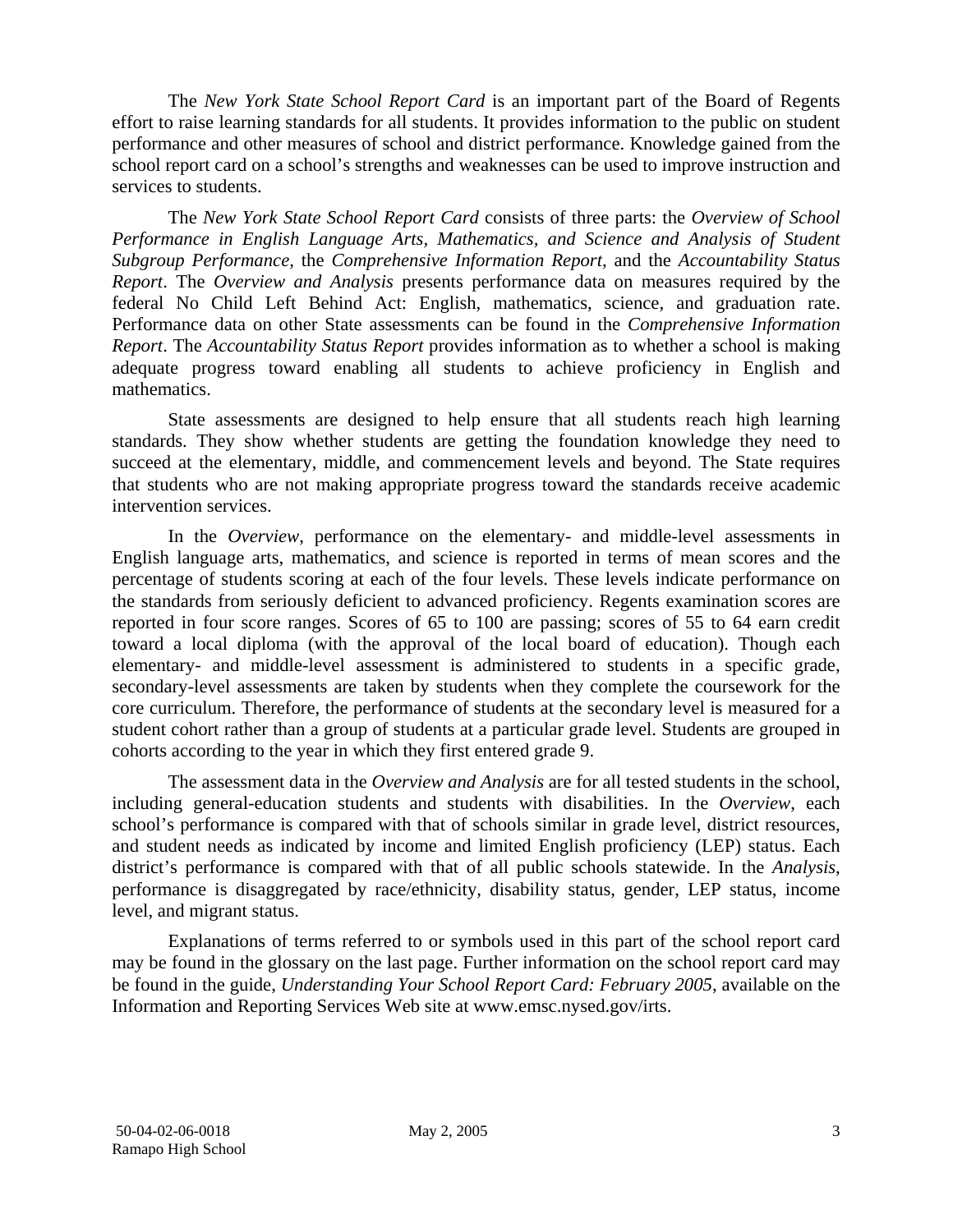The *New York State School Report Card* is an important part of the Board of Regents effort to raise learning standards for all students. It provides information to the public on student performance and other measures of school and district performance. Knowledge gained from the school report card on a school's strengths and weaknesses can be used to improve instruction and services to students.

The *New York State School Report Card* consists of three parts: the *Overview of School Performance in English Language Arts, Mathematics, and Science and Analysis of Student Subgroup Performance,* the *Comprehensive Information Report,* and the *Accountability Status Report*. The *Overview and Analysis* presents performance data on measures required by the federal No Child Left Behind Act: English, mathematics, science, and graduation rate. Performance data on other State assessments can be found in the *Comprehensive Information Report*. The *Accountability Status Report* provides information as to whether a school is making adequate progress toward enabling all students to achieve proficiency in English and mathematics.

State assessments are designed to help ensure that all students reach high learning standards. They show whether students are getting the foundation knowledge they need to succeed at the elementary, middle, and commencement levels and beyond. The State requires that students who are not making appropriate progress toward the standards receive academic intervention services.

In the *Overview*, performance on the elementary- and middle-level assessments in English language arts, mathematics, and science is reported in terms of mean scores and the percentage of students scoring at each of the four levels. These levels indicate performance on the standards from seriously deficient to advanced proficiency. Regents examination scores are reported in four score ranges. Scores of 65 to 100 are passing; scores of 55 to 64 earn credit toward a local diploma (with the approval of the local board of education). Though each elementary- and middle-level assessment is administered to students in a specific grade, secondary-level assessments are taken by students when they complete the coursework for the core curriculum. Therefore, the performance of students at the secondary level is measured for a student cohort rather than a group of students at a particular grade level. Students are grouped in cohorts according to the year in which they first entered grade 9.

The assessment data in the *Overview and Analysis* are for all tested students in the school, including general-education students and students with disabilities. In the *Overview*, each school's performance is compared with that of schools similar in grade level, district resources, and student needs as indicated by income and limited English proficiency (LEP) status. Each district's performance is compared with that of all public schools statewide. In the *Analysis*, performance is disaggregated by race/ethnicity, disability status, gender, LEP status, income level, and migrant status.

Explanations of terms referred to or symbols used in this part of the school report card may be found in the glossary on the last page. Further information on the school report card may be found in the guide, *Understanding Your School Report Card: February 2005*, available on the Information and Reporting Services Web site at www.emsc.nysed.gov/irts.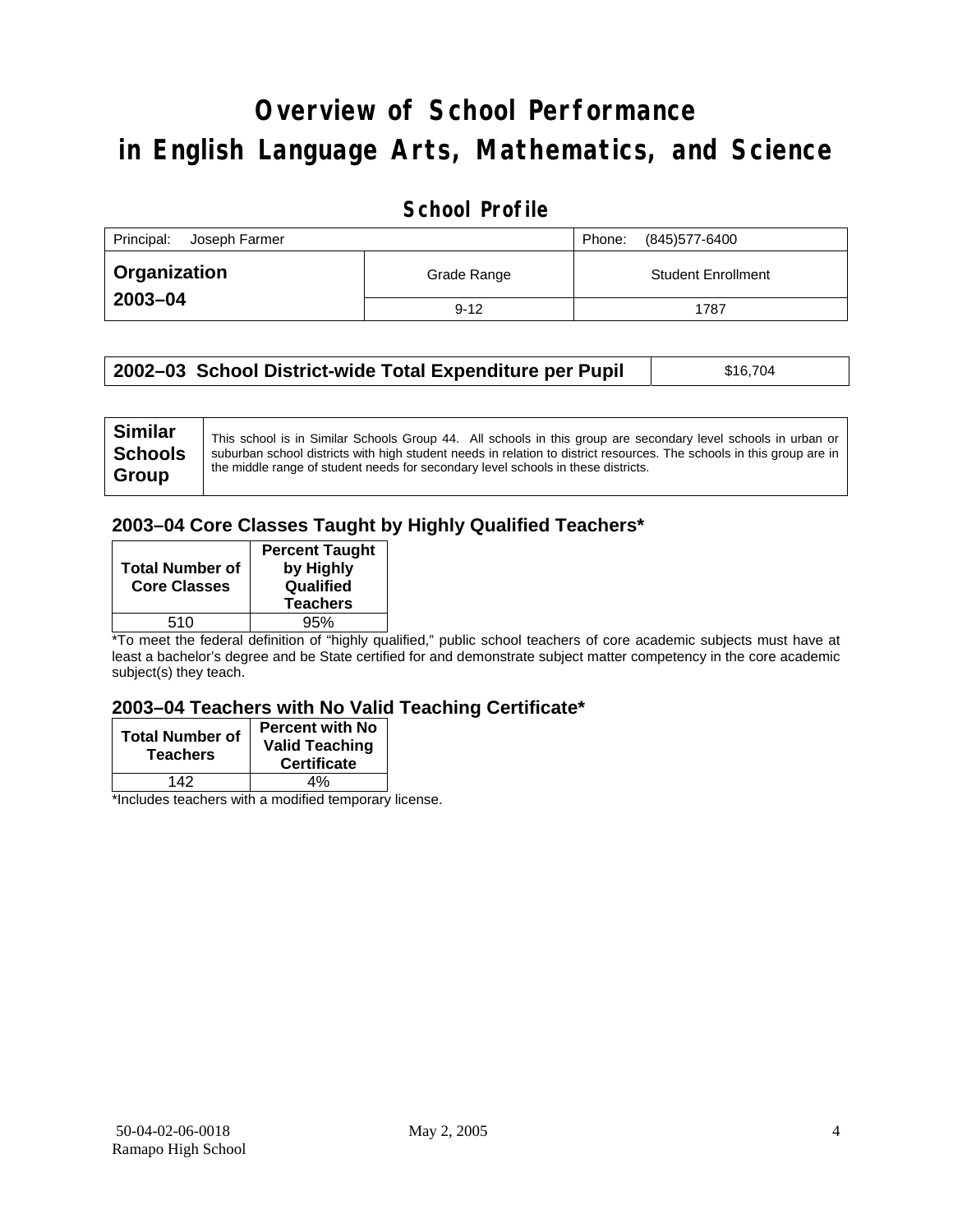# **Overview of School Performance in English Language Arts, Mathematics, and Science**

#### **School Profile**

| Principal:<br>Joseph Farmer | (845)577-6400<br>Phone: |                           |  |  |
|-----------------------------|-------------------------|---------------------------|--|--|
| Organization                | Grade Range             | <b>Student Enrollment</b> |  |  |
| 2003-04                     | $9 - 12$                | 1787                      |  |  |

| 2002–03 School District-wide Total Expenditure per Pupil | \$16,704 |
|----------------------------------------------------------|----------|
|----------------------------------------------------------|----------|

| <b>Similar</b> | This school is in Similar Schools Group 44. All schools in this group are secondary level schools in urban or         |
|----------------|-----------------------------------------------------------------------------------------------------------------------|
| <b>Schools</b> | suburban school districts with high student needs in relation to district resources. The schools in this group are in |
| Group          | the middle range of student needs for secondary level schools in these districts.                                     |
|                |                                                                                                                       |

#### **2003–04 Core Classes Taught by Highly Qualified Teachers\***

| <b>Total Number of</b><br><b>Core Classes</b> | <b>Percent Taught</b><br>by Highly<br>Qualified<br><b>Teachers</b> |
|-----------------------------------------------|--------------------------------------------------------------------|
| 510                                           | 95%                                                                |

\*To meet the federal definition of "highly qualified," public school teachers of core academic subjects must have at least a bachelor's degree and be State certified for and demonstrate subject matter competency in the core academic subject(s) they teach.

#### **2003–04 Teachers with No Valid Teaching Certificate\***

| <b>Total Number of</b><br><b>Teachers</b> | <b>Percent with No</b><br><b>Valid Teaching</b><br><b>Certificate</b> |
|-------------------------------------------|-----------------------------------------------------------------------|
| 142                                       | 4%                                                                    |
| $\mathbf{A}$<br>$\cdots$                  |                                                                       |

\*Includes teachers with a modified temporary license.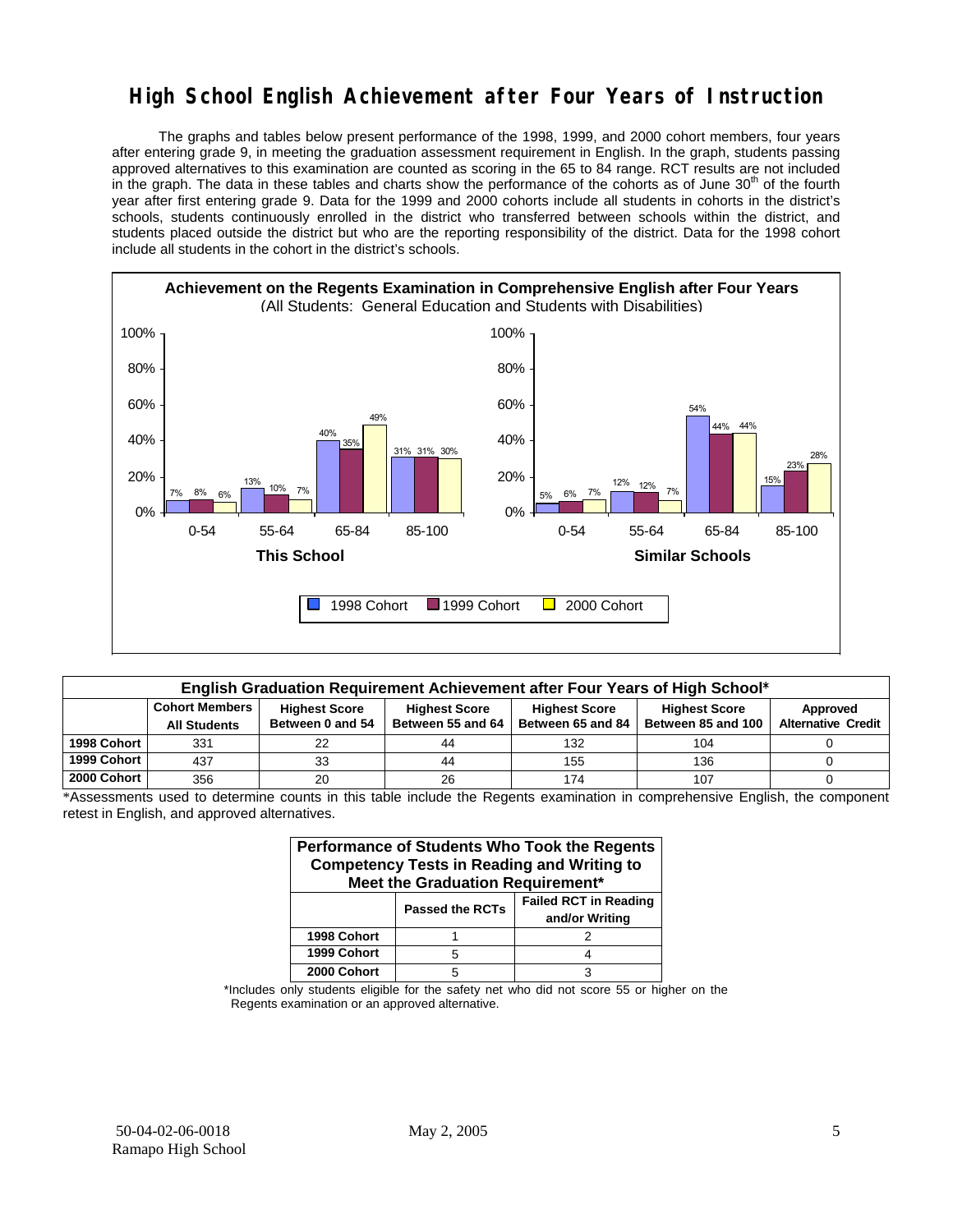### **High School English Achievement after Four Years of Instruction**

 The graphs and tables below present performance of the 1998, 1999, and 2000 cohort members, four years after entering grade 9, in meeting the graduation assessment requirement in English. In the graph, students passing approved alternatives to this examination are counted as scoring in the 65 to 84 range. RCT results are not included in the graph. The data in these tables and charts show the performance of the cohorts as of June  $30<sup>th</sup>$  of the fourth year after first entering grade 9. Data for the 1999 and 2000 cohorts include all students in cohorts in the district's schools, students continuously enrolled in the district who transferred between schools within the district, and students placed outside the district but who are the reporting responsibility of the district. Data for the 1998 cohort include all students in the cohort in the district's schools.



| English Graduation Requirement Achievement after Four Years of High School* |                                                                                                                                                                                                                                                                           |    |    |     |     |  |  |  |  |
|-----------------------------------------------------------------------------|---------------------------------------------------------------------------------------------------------------------------------------------------------------------------------------------------------------------------------------------------------------------------|----|----|-----|-----|--|--|--|--|
|                                                                             | <b>Cohort Members</b><br><b>Highest Score</b><br><b>Highest Score</b><br><b>Highest Score</b><br><b>Highest Score</b><br>Approved<br>Between 85 and 100<br>Between 55 and 64<br>Between 65 and 84<br><b>Alternative Credit</b><br>Between 0 and 54<br><b>All Students</b> |    |    |     |     |  |  |  |  |
| 1998 Cohort                                                                 | 331                                                                                                                                                                                                                                                                       | 22 | 44 | 132 | 104 |  |  |  |  |
| 1999 Cohort                                                                 | 437                                                                                                                                                                                                                                                                       | 33 | 44 | 155 | 136 |  |  |  |  |
| 2000 Cohort                                                                 | 356                                                                                                                                                                                                                                                                       | 20 | 26 | 174 | 107 |  |  |  |  |

\*Assessments used to determine counts in this table include the Regents examination in comprehensive English, the component retest in English, and approved alternatives.

| Performance of Students Who Took the Regents<br><b>Competency Tests in Reading and Writing to</b><br>Meet the Graduation Requirement* |                                                                          |  |  |  |  |  |  |
|---------------------------------------------------------------------------------------------------------------------------------------|--------------------------------------------------------------------------|--|--|--|--|--|--|
|                                                                                                                                       | <b>Failed RCT in Reading</b><br><b>Passed the RCTs</b><br>and/or Writing |  |  |  |  |  |  |
| 1998 Cohort                                                                                                                           |                                                                          |  |  |  |  |  |  |
| 1999 Cohort                                                                                                                           | 5                                                                        |  |  |  |  |  |  |
| 2000 Cohort                                                                                                                           | 5                                                                        |  |  |  |  |  |  |

\*Includes only students eligible for the safety net who did not score 55 or higher on the Regents examination or an approved alternative.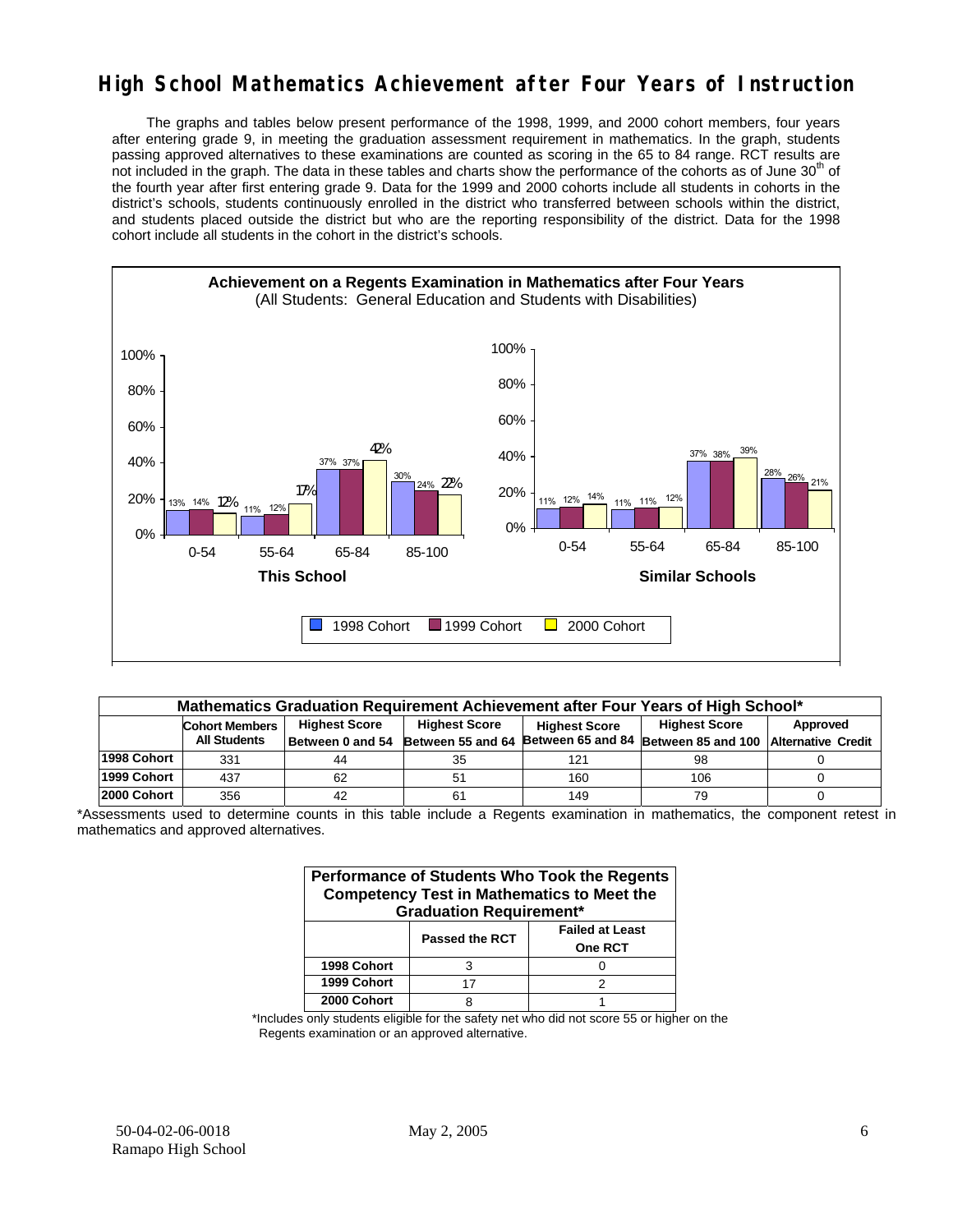### **High School Mathematics Achievement after Four Years of Instruction**

 The graphs and tables below present performance of the 1998, 1999, and 2000 cohort members, four years after entering grade 9, in meeting the graduation assessment requirement in mathematics. In the graph, students passing approved alternatives to these examinations are counted as scoring in the 65 to 84 range. RCT results are not included in the graph. The data in these tables and charts show the performance of the cohorts as of June 30<sup>th</sup> of the fourth year after first entering grade 9. Data for the 1999 and 2000 cohorts include all students in cohorts in the district's schools, students continuously enrolled in the district who transferred between schools within the district, and students placed outside the district but who are the reporting responsibility of the district. Data for the 1998 cohort include all students in the cohort in the district's schools.



|             | Mathematics Graduation Requirement Achievement after Four Years of High School* |                                                                                                          |                                    |     |                                                         |  |  |  |  |  |
|-------------|---------------------------------------------------------------------------------|----------------------------------------------------------------------------------------------------------|------------------------------------|-----|---------------------------------------------------------|--|--|--|--|--|
|             | <b>Cohort Members</b>                                                           | <b>Highest Score</b><br><b>Highest Score</b><br><b>Highest Score</b><br>Approved<br><b>Highest Score</b> |                                    |     |                                                         |  |  |  |  |  |
|             | <b>All Students</b>                                                             |                                                                                                          | Between 0 and 54 Between 55 and 64 |     | Between 65 and 84 Between 85 and 100 Alternative Credit |  |  |  |  |  |
| 1998 Cohort | 331                                                                             | 44                                                                                                       | 35                                 | 121 | 98                                                      |  |  |  |  |  |
| 1999 Cohort | 437                                                                             | 62                                                                                                       | 51                                 | 160 | 106                                                     |  |  |  |  |  |
| 2000 Cohort | 356                                                                             |                                                                                                          | 61                                 | 149 | 79                                                      |  |  |  |  |  |

\*Assessments used to determine counts in this table include a Regents examination in mathematics, the component retest in mathematics and approved alternatives.

| Performance of Students Who Took the Regents<br><b>Competency Test in Mathematics to Meet the</b><br><b>Graduation Requirement*</b> |                       |                                          |  |  |  |  |
|-------------------------------------------------------------------------------------------------------------------------------------|-----------------------|------------------------------------------|--|--|--|--|
|                                                                                                                                     | <b>Passed the RCT</b> | <b>Failed at Least</b><br><b>One RCT</b> |  |  |  |  |
| 1998 Cohort                                                                                                                         | 3                     |                                          |  |  |  |  |
| 1999 Cohort                                                                                                                         | 17                    |                                          |  |  |  |  |
| 2000 Cohort                                                                                                                         |                       |                                          |  |  |  |  |

\*Includes only students eligible for the safety net who did not score 55 or higher on the Regents examination or an approved alternative.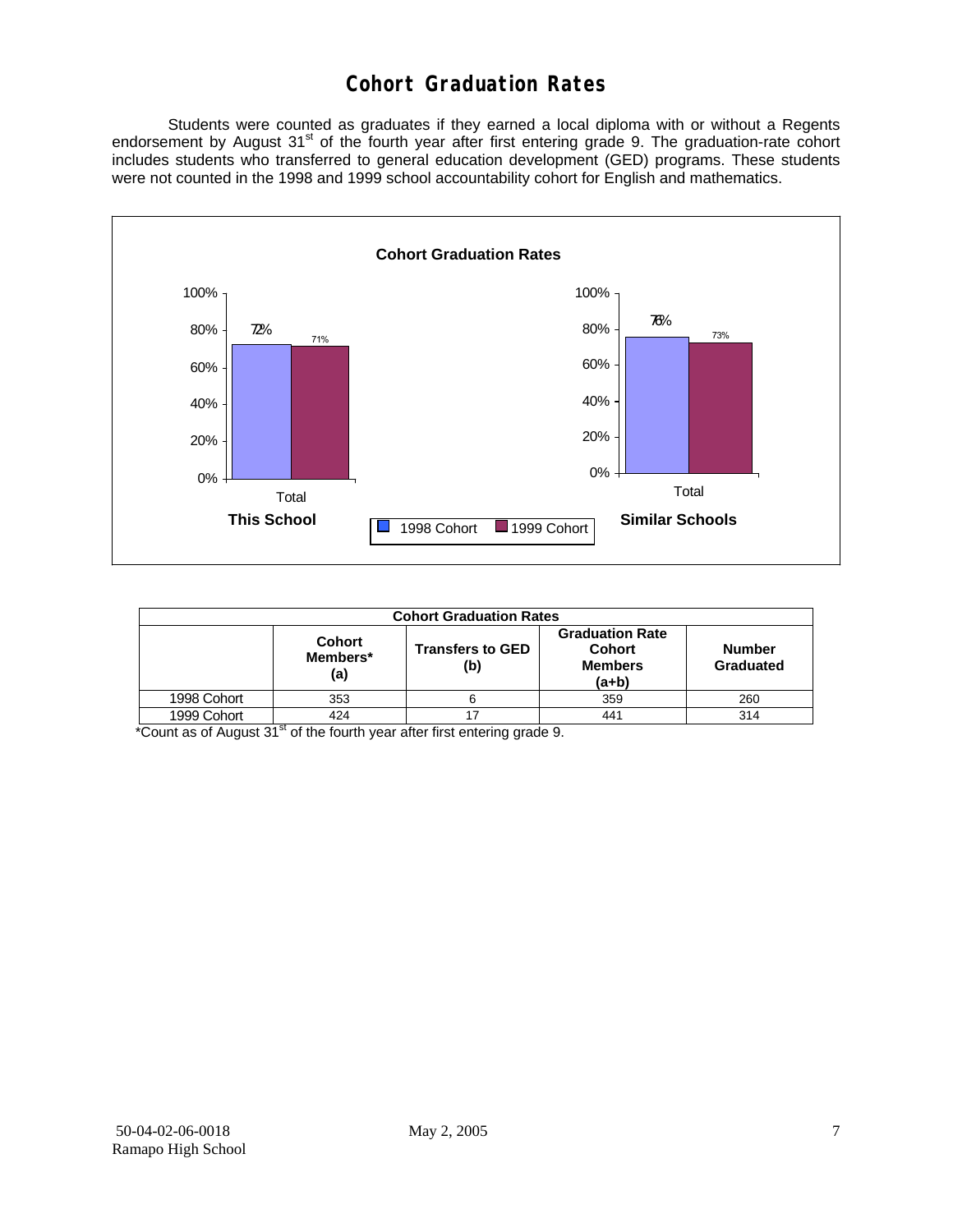## **Cohort Graduation Rates**

 Students were counted as graduates if they earned a local diploma with or without a Regents endorsement by August 31<sup>st</sup> of the fourth year after first entering grade 9. The graduation-rate cohort includes students who transferred to general education development (GED) programs. These students were not counted in the 1998 and 1999 school accountability cohort for English and mathematics.



| <b>Cohort Graduation Rates</b> |                                  |                                |                                                             |                            |  |  |  |
|--------------------------------|----------------------------------|--------------------------------|-------------------------------------------------------------|----------------------------|--|--|--|
|                                | <b>Cohort</b><br>Members*<br>(a) | <b>Transfers to GED</b><br>(b) | <b>Graduation Rate</b><br>Cohort<br><b>Members</b><br>(a+b) | <b>Number</b><br>Graduated |  |  |  |
| 1998 Cohort                    | 353                              |                                | 359                                                         | 260                        |  |  |  |
| 1999 Cohort                    | 424                              |                                | 441                                                         | 314                        |  |  |  |

\*Count as of August 31<sup>st</sup> of the fourth year after first entering grade 9.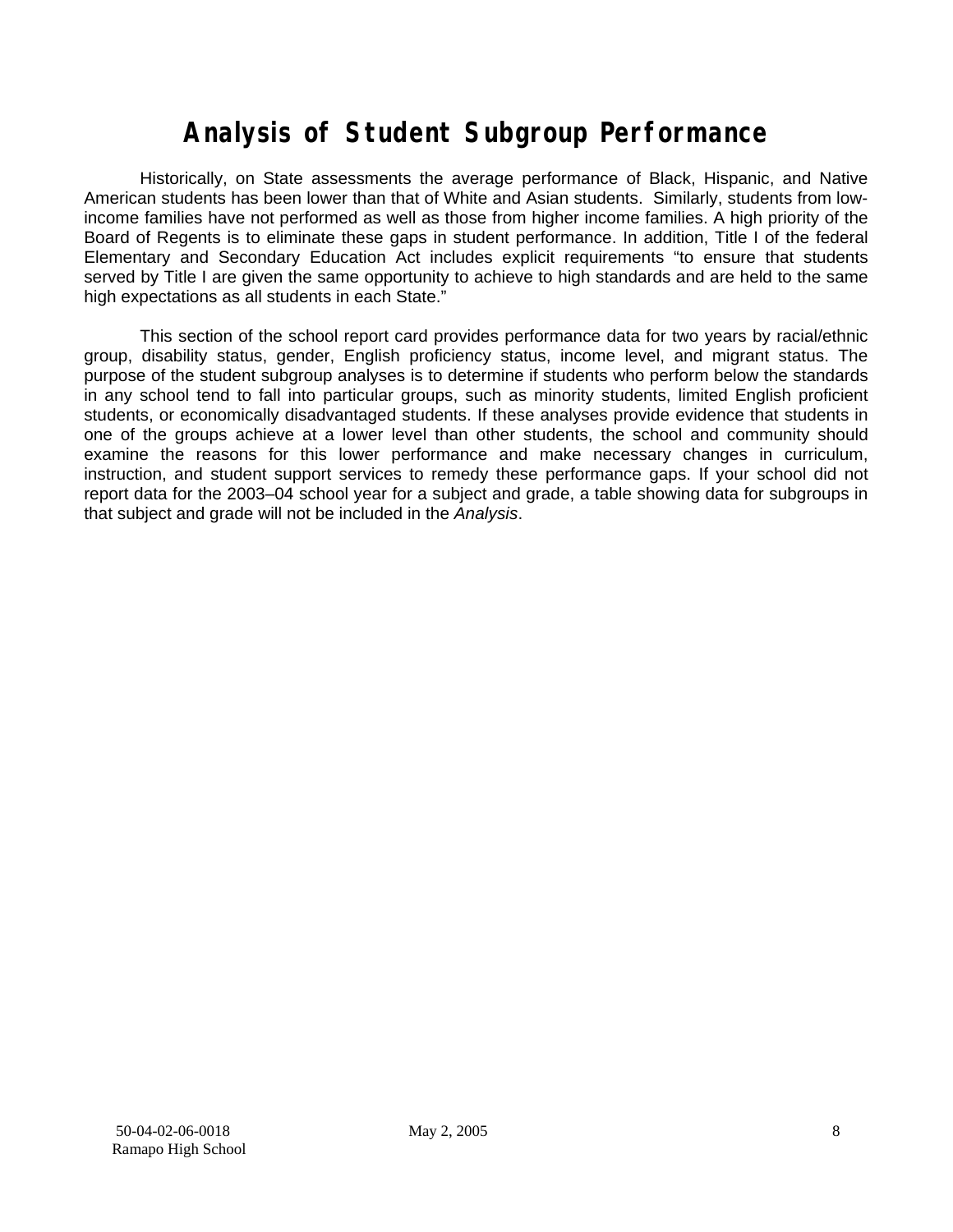# **Analysis of Student Subgroup Performance**

Historically, on State assessments the average performance of Black, Hispanic, and Native American students has been lower than that of White and Asian students. Similarly, students from lowincome families have not performed as well as those from higher income families. A high priority of the Board of Regents is to eliminate these gaps in student performance. In addition, Title I of the federal Elementary and Secondary Education Act includes explicit requirements "to ensure that students served by Title I are given the same opportunity to achieve to high standards and are held to the same high expectations as all students in each State."

This section of the school report card provides performance data for two years by racial/ethnic group, disability status, gender, English proficiency status, income level, and migrant status. The purpose of the student subgroup analyses is to determine if students who perform below the standards in any school tend to fall into particular groups, such as minority students, limited English proficient students, or economically disadvantaged students. If these analyses provide evidence that students in one of the groups achieve at a lower level than other students, the school and community should examine the reasons for this lower performance and make necessary changes in curriculum, instruction, and student support services to remedy these performance gaps. If your school did not report data for the 2003–04 school year for a subject and grade, a table showing data for subgroups in that subject and grade will not be included in the *Analysis*.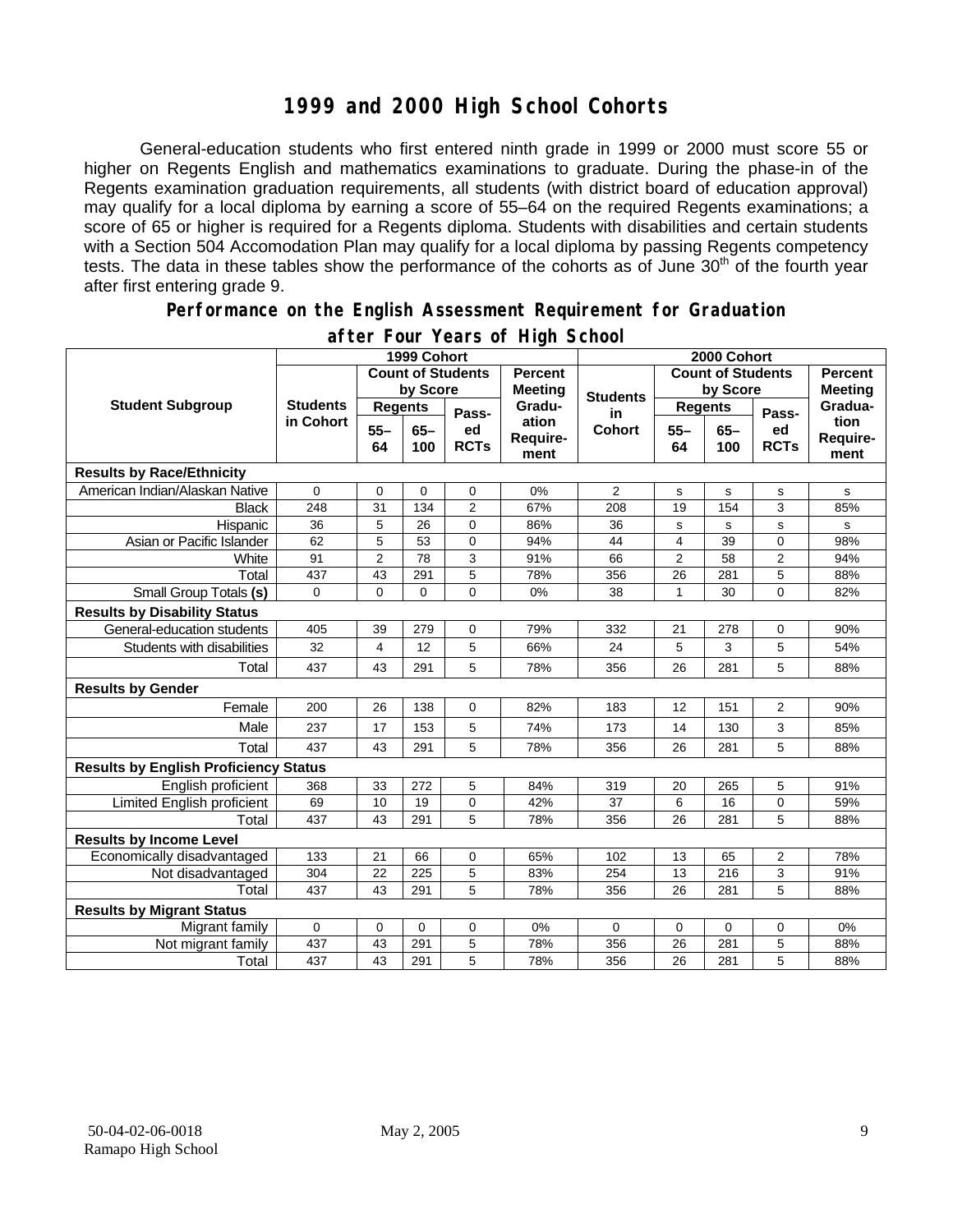### **1999 and 2000 High School Cohorts**

General-education students who first entered ninth grade in 1999 or 2000 must score 55 or higher on Regents English and mathematics examinations to graduate. During the phase-in of the Regents examination graduation requirements, all students (with district board of education approval) may qualify for a local diploma by earning a score of 55–64 on the required Regents examinations; a score of 65 or higher is required for a Regents diploma. Students with disabilities and certain students with a Section 504 Accomodation Plan may qualify for a local diploma by passing Regents competency tests. The data in these tables show the performance of the cohorts as of June 30<sup>th</sup> of the fourth year after first entering grade 9.

#### **Performance on the English Assessment Requirement for Graduation**

|                                              | 1999 Cohort     |                          |                |                   | 2000 Cohort               |                 |                          |               |                   |                          |
|----------------------------------------------|-----------------|--------------------------|----------------|-------------------|---------------------------|-----------------|--------------------------|---------------|-------------------|--------------------------|
|                                              |                 | <b>Count of Students</b> |                | <b>Percent</b>    |                           |                 | <b>Count of Students</b> |               | <b>Percent</b>    |                          |
|                                              |                 |                          | by Score       |                   | <b>Meeting</b>            | <b>Students</b> | by Score                 |               | <b>Meeting</b>    |                          |
| <b>Student Subgroup</b>                      | <b>Students</b> | <b>Regents</b>           |                | Pass-             | Gradu-                    | in              | <b>Regents</b>           |               | Pass-             | Gradua-                  |
|                                              | in Cohort       | $55 -$<br>64             | $65 -$<br>100  | ed<br><b>RCTs</b> | ation<br>Require-<br>ment | <b>Cohort</b>   | $55 -$<br>64             | $65 -$<br>100 | ed<br><b>RCTs</b> | tion<br>Require-<br>ment |
| <b>Results by Race/Ethnicity</b>             |                 |                          |                |                   |                           |                 |                          |               |                   |                          |
| American Indian/Alaskan Native               | $\mathbf{0}$    | 0                        | $\overline{0}$ | $\mathbf 0$       | 0%                        | $\overline{2}$  | s                        | s             | s                 | s                        |
| <b>Black</b>                                 | 248             | 31                       | 134            | $\overline{2}$    | 67%                       | 208             | 19                       | 154           | 3                 | 85%                      |
| Hispanic                                     | 36              | 5                        | 26             | $\Omega$          | 86%                       | 36              | s                        | s             | s                 | s                        |
| Asian or Pacific Islander                    | 62              | 5                        | 53             | 0                 | 94%                       | 44              | $\overline{4}$           | 39            | $\mathbf 0$       | 98%                      |
| White                                        | 91              | $\overline{c}$           | 78             | 3                 | 91%                       | 66              | $\overline{c}$           | 58            | $\overline{2}$    | 94%                      |
| Total                                        | 437             | 43                       | 291            | 5                 | 78%                       | 356             | $\overline{26}$          | 281           | 5                 | 88%                      |
| Small Group Totals (s)                       | $\Omega$        | $\Omega$                 | $\Omega$       | $\Omega$          | 0%                        | 38              | $\mathbf{1}$             | 30            | $\overline{0}$    | 82%                      |
| <b>Results by Disability Status</b>          |                 |                          |                |                   |                           |                 |                          |               |                   |                          |
| General-education students                   | 405             | 39                       | 279            | 0                 | 79%                       | 332             | 21                       | 278           | 0                 | 90%                      |
| Students with disabilities                   | 32              | $\overline{4}$           | 12             | 5                 | 66%                       | 24              | 5                        | 3             | 5                 | 54%                      |
| Total                                        | 437             | 43                       | 291            | 5                 | 78%                       | 356             | 26                       | 281           | 5                 | 88%                      |
| <b>Results by Gender</b>                     |                 |                          |                |                   |                           |                 |                          |               |                   |                          |
| Female                                       | 200             | 26                       | 138            | $\Omega$          | 82%                       | 183             | 12                       | 151           | $\overline{2}$    | 90%                      |
| Male                                         | 237             | 17                       | 153            | 5                 | 74%                       | 173             | 14                       | 130           | 3                 | 85%                      |
| Total                                        | 437             | 43                       | 291            | 5                 | 78%                       | 356             | 26                       | 281           | 5                 | 88%                      |
| <b>Results by English Proficiency Status</b> |                 |                          |                |                   |                           |                 |                          |               |                   |                          |
| English proficient                           | 368             | 33                       | 272            | 5                 | 84%                       | 319             | 20                       | 265           | 5                 | 91%                      |
| Limited English proficient                   | 69              | 10                       | 19             | 0                 | 42%                       | 37              | 6                        | 16            | 0                 | 59%                      |
| Total                                        | 437             | 43                       | 291            | 5                 | 78%                       | 356             | 26                       | 281           | 5                 | 88%                      |
| <b>Results by Income Level</b>               |                 |                          |                |                   |                           |                 |                          |               |                   |                          |
| Economically disadvantaged                   | 133             | 21                       | 66             | $\mathbf 0$       | 65%                       | 102             | 13                       | 65            | 2                 | 78%                      |
| Not disadvantaged                            | 304             | 22                       | 225            | 5                 | 83%                       | 254             | 13                       | 216           | 3                 | 91%                      |
| Total                                        | 437             | 43                       | 291            | 5                 | 78%                       | 356             | 26                       | 281           | 5                 | 88%                      |
| <b>Results by Migrant Status</b>             |                 |                          |                |                   |                           |                 |                          |               |                   |                          |
| Migrant family                               | 0               | 0                        | 0              | $\mathbf 0$       | 0%                        | 0               | $\mathbf 0$              | $\Omega$      | 0                 | 0%                       |
| Not migrant family                           | 437             | 43                       | 291            | 5                 | 78%                       | 356             | 26                       | 281           | 5                 | 88%                      |
| Total                                        | 437             | 43                       | 291            | 5                 | 78%                       | 356             | 26                       | 281           | 5                 | 88%                      |

#### **after Four Years of High School**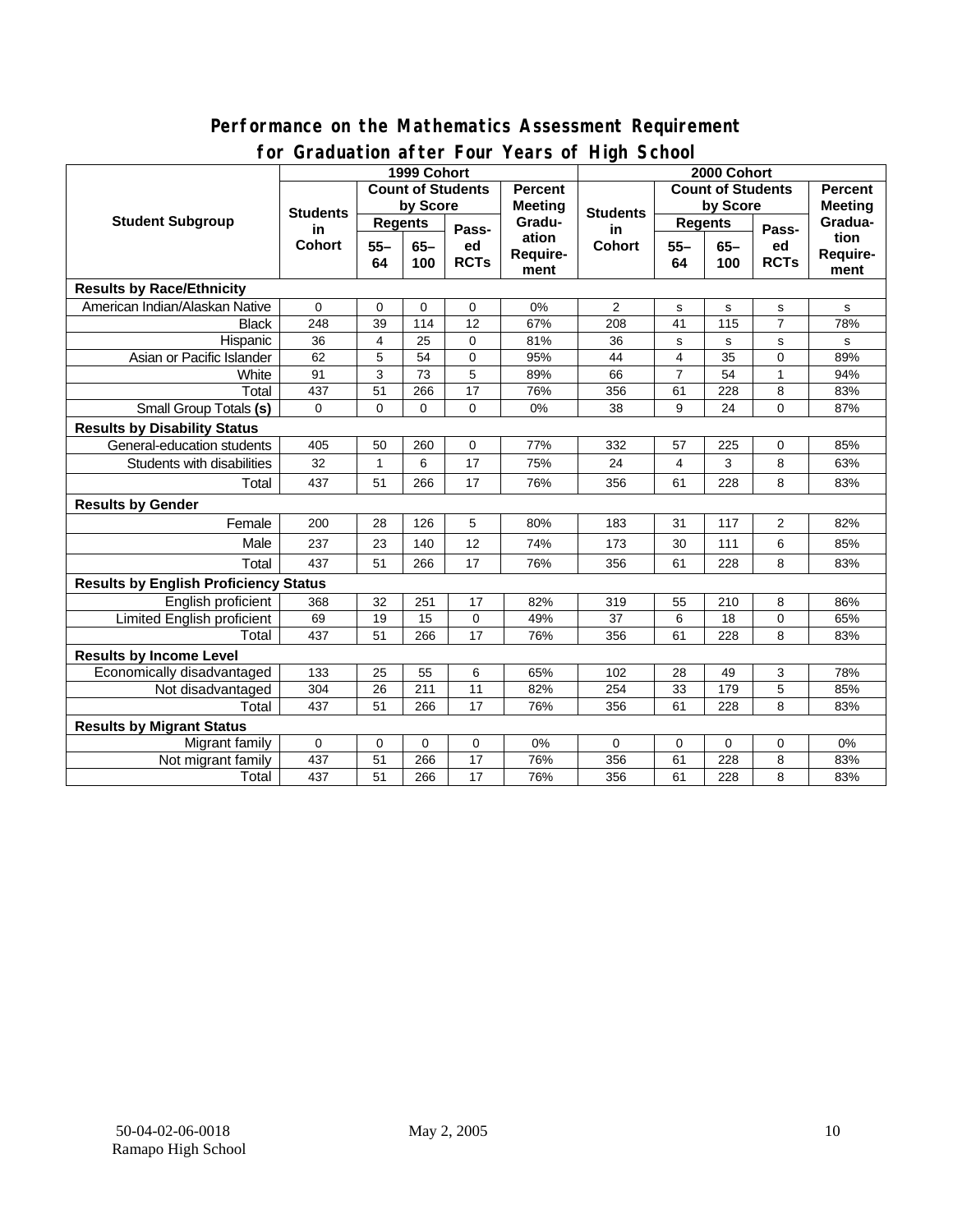#### **Performance on the Mathematics Assessment Requirement for Graduation after Four Years of High School**

|                                              | <u><b>Siddaction artor roar roars or right conco</b></u><br>1999 Cohort |                          |                  |                 |                | 2000 Cohort           |                          |             |                |                                  |
|----------------------------------------------|-------------------------------------------------------------------------|--------------------------|------------------|-----------------|----------------|-----------------------|--------------------------|-------------|----------------|----------------------------------|
| <b>Student Subgroup</b>                      |                                                                         | <b>Count of Students</b> |                  |                 | Percent        |                       | <b>Count of Students</b> |             |                | <b>Percent</b><br><b>Meeting</b> |
|                                              | <b>Students</b><br>in<br><b>Cohort</b>                                  | by Score                 |                  |                 | <b>Meeting</b> |                       | by Score                 |             |                |                                  |
|                                              |                                                                         | <b>Regents</b>           |                  |                 | Gradu-         | <b>Students</b><br>in | <b>Regents</b>           |             | Pass-          | Gradua-                          |
|                                              |                                                                         | $55 -$                   | $65-$            | Pass-<br>ed     | ation          | <b>Cohort</b>         | $55 -$                   | $65-$       | ed             | tion                             |
|                                              |                                                                         | 64                       | 100              | <b>RCTs</b>     | Require-       |                       | 64                       | 100         | <b>RCTs</b>    | <b>Require-</b>                  |
|                                              |                                                                         |                          |                  |                 | ment           |                       |                          |             |                | ment                             |
| <b>Results by Race/Ethnicity</b>             |                                                                         |                          |                  |                 |                |                       |                          |             |                |                                  |
| American Indian/Alaskan Native               | $\Omega$                                                                | $\mathbf 0$              | $\Omega$         | $\Omega$        | 0%             | $\overline{2}$        | s                        | $\mathbf s$ | s              | s                                |
| <b>Black</b>                                 | 248                                                                     | 39                       | 114              | 12              | 67%            | 208                   | 41                       | 115         | $\overline{7}$ | 78%                              |
| Hispanic                                     | 36                                                                      | $\overline{4}$           | 25               | 0               | 81%            | 36                    | s                        | s           | s              | s                                |
| Asian or Pacific Islander                    | 62                                                                      | 5                        | 54               | 0               | 95%            | 44                    | 4                        | 35          | 0              | 89%                              |
| White                                        | 91                                                                      | 3                        | 73               | 5               | 89%            | 66                    | $\overline{7}$           | 54          | $\mathbf{1}$   | 94%                              |
| Total                                        | 437                                                                     | 51                       | 266              | 17              | 76%            | 356                   | 61                       | 228         | 8              | 83%                              |
| <b>Small Group Totals (s)</b>                | $\mathbf 0$                                                             | 0                        | $\Omega$         | $\mathbf 0$     | 0%             | 38                    | 9                        | 24          | 0              | 87%                              |
| <b>Results by Disability Status</b>          |                                                                         |                          |                  |                 |                |                       |                          |             |                |                                  |
| General-education students                   | 405                                                                     | 50                       | 260              | $\mathbf 0$     | 77%            | 332                   | 57                       | 225         | 0              | 85%                              |
| Students with disabilities                   | 32                                                                      | $\mathbf{1}$             | 6                | 17              | 75%            | 24                    | $\overline{4}$           | 3           | 8              | 63%                              |
| Total                                        | 437                                                                     | 51                       | 266              | 17              | 76%            | 356                   | 61                       | 228         | 8              | 83%                              |
| <b>Results by Gender</b>                     |                                                                         |                          |                  |                 |                |                       |                          |             |                |                                  |
| Female                                       | 200                                                                     | 28                       | 126              | 5               | 80%            | 183                   | 31                       | 117         | 2              | 82%                              |
| Male                                         | 237                                                                     | 23                       | 140              | 12              | 74%            | 173                   | 30                       | 111         | 6              | 85%                              |
| Total                                        | 437                                                                     | 51                       | 266              | 17              | 76%            | 356                   | 61                       | 228         | 8              | 83%                              |
| <b>Results by English Proficiency Status</b> |                                                                         |                          |                  |                 |                |                       |                          |             |                |                                  |
| English proficient                           | 368                                                                     | 32                       | 251              | 17              | 82%            | 319                   | 55                       | 210         | 8              | 86%                              |
| Limited English proficient                   | 69                                                                      | 19                       | 15               | $\pmb{0}$       | 49%            | 37                    | 6                        | 18          | 0              | 65%                              |
| Total                                        | 437                                                                     | 51                       | 266              | 17              | 76%            | 356                   | 61                       | 228         | 8              | 83%                              |
| <b>Results by Income Level</b>               |                                                                         |                          |                  |                 |                |                       |                          |             |                |                                  |
| Economically disadvantaged                   | 133                                                                     | 25                       | 55               | 6               | 65%            | 102                   | 28                       | 49          | 3              | 78%                              |
| Not disadvantaged                            | 304                                                                     | 26                       | $\overline{211}$ | $\overline{11}$ | 82%            | 254                   | 33                       | 179         | 5              | 85%                              |
| Total                                        | 437                                                                     | 51                       | 266              | 17              | 76%            | 356                   | 61                       | 228         | 8              | 83%                              |
| <b>Results by Migrant Status</b>             |                                                                         |                          |                  |                 |                |                       |                          |             |                |                                  |
| Migrant family                               | $\mathbf 0$                                                             | 0                        | 0                | 0               | 0%             | $\Omega$              | 0                        | 0           | 0              | 0%                               |
| Not migrant family                           | 437                                                                     | 51                       | 266              | 17              | 76%            | 356                   | 61                       | 228         | 8              | 83%                              |
| Total                                        | 437                                                                     | 51                       | 266              | $\overline{17}$ | 76%            | 356                   | 61                       | 228         | 8              | 83%                              |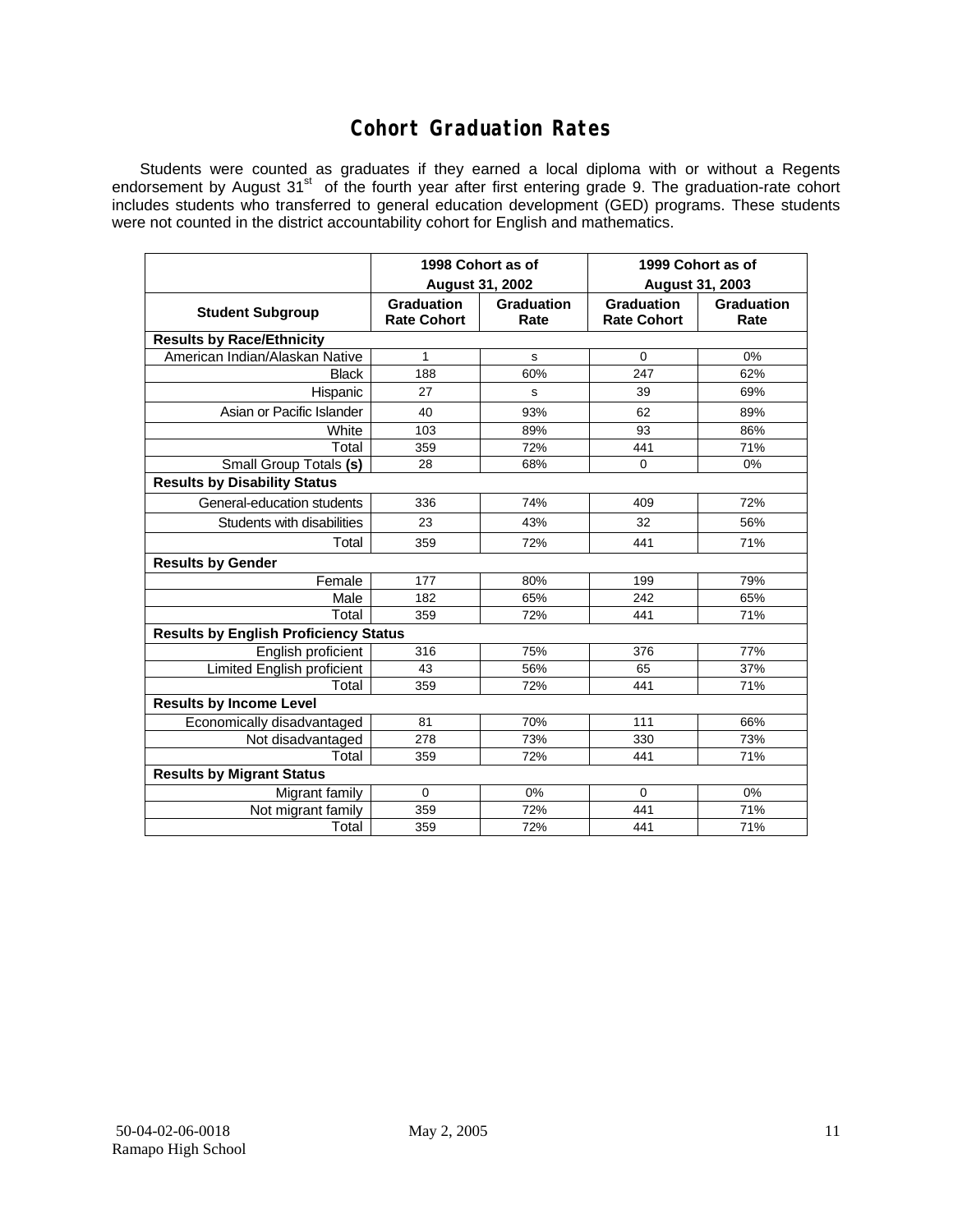### **Cohort Graduation Rates**

Students were counted as graduates if they earned a local diploma with or without a Regents endorsement by August 31<sup>st</sup> of the fourth year after first entering grade 9. The graduation-rate cohort includes students who transferred to general education development (GED) programs. These students were not counted in the district accountability cohort for English and mathematics.

|                                              | 1998 Cohort as of                |                    | 1999 Cohort as of                       |                    |  |  |  |  |  |
|----------------------------------------------|----------------------------------|--------------------|-----------------------------------------|--------------------|--|--|--|--|--|
|                                              | <b>August 31, 2002</b>           |                    | August 31, 2003                         |                    |  |  |  |  |  |
| <b>Student Subgroup</b>                      | Graduation<br><b>Rate Cohort</b> | Graduation<br>Rate | <b>Graduation</b><br><b>Rate Cohort</b> | Graduation<br>Rate |  |  |  |  |  |
| <b>Results by Race/Ethnicity</b>             |                                  |                    |                                         |                    |  |  |  |  |  |
| American Indian/Alaskan Native               | 1                                | S                  | 0                                       | 0%                 |  |  |  |  |  |
| <b>Black</b>                                 | 188                              | 60%                | 247                                     | 62%                |  |  |  |  |  |
| Hispanic                                     | 27                               | s                  | 39                                      | 69%                |  |  |  |  |  |
| Asian or Pacific Islander                    | 40                               | 93%                | 62                                      | 89%                |  |  |  |  |  |
| White                                        | 103                              | 89%                | 93                                      | 86%                |  |  |  |  |  |
| Total                                        | 359                              | 72%                | 441                                     | 71%                |  |  |  |  |  |
| Small Group Totals (s)                       | 28                               | 68%                | $\Omega$                                | 0%                 |  |  |  |  |  |
| <b>Results by Disability Status</b>          |                                  |                    |                                         |                    |  |  |  |  |  |
| General-education students                   | 336                              | 74%                | 409                                     | 72%                |  |  |  |  |  |
| Students with disabilities                   | 23                               | 43%                | 32                                      | 56%                |  |  |  |  |  |
| Total                                        | 359                              | 72%                | 441                                     | 71%                |  |  |  |  |  |
| <b>Results by Gender</b>                     |                                  |                    |                                         |                    |  |  |  |  |  |
| Female                                       | 177                              | 80%                | 199                                     | 79%                |  |  |  |  |  |
| Male                                         | 182                              | 65%                | 242                                     | 65%                |  |  |  |  |  |
| Total                                        | 359                              | 72%                | 441                                     | 71%                |  |  |  |  |  |
| <b>Results by English Proficiency Status</b> |                                  |                    |                                         |                    |  |  |  |  |  |
| English proficient                           | 316                              | 75%                | 376                                     | 77%                |  |  |  |  |  |
| <b>Limited English proficient</b>            | 43                               | 56%                | 65                                      | 37%                |  |  |  |  |  |
| Total                                        | 359                              | 72%                | 441                                     | 71%                |  |  |  |  |  |
| <b>Results by Income Level</b>               |                                  |                    |                                         |                    |  |  |  |  |  |
| Economically disadvantaged                   | 81                               | 70%                | 111                                     | 66%                |  |  |  |  |  |
| Not disadvantaged                            | 278                              | 73%                | 330                                     | 73%                |  |  |  |  |  |
| Total                                        | 359                              | 72%                | 441                                     | 71%                |  |  |  |  |  |
| <b>Results by Migrant Status</b>             |                                  |                    |                                         |                    |  |  |  |  |  |
| Migrant family                               | $\Omega$                         | 0%                 | $\Omega$                                | 0%                 |  |  |  |  |  |
| Not migrant family                           | 359                              | 72%                | 441                                     | 71%                |  |  |  |  |  |
| Total                                        | 359                              | 72%                | 441                                     | 71%                |  |  |  |  |  |